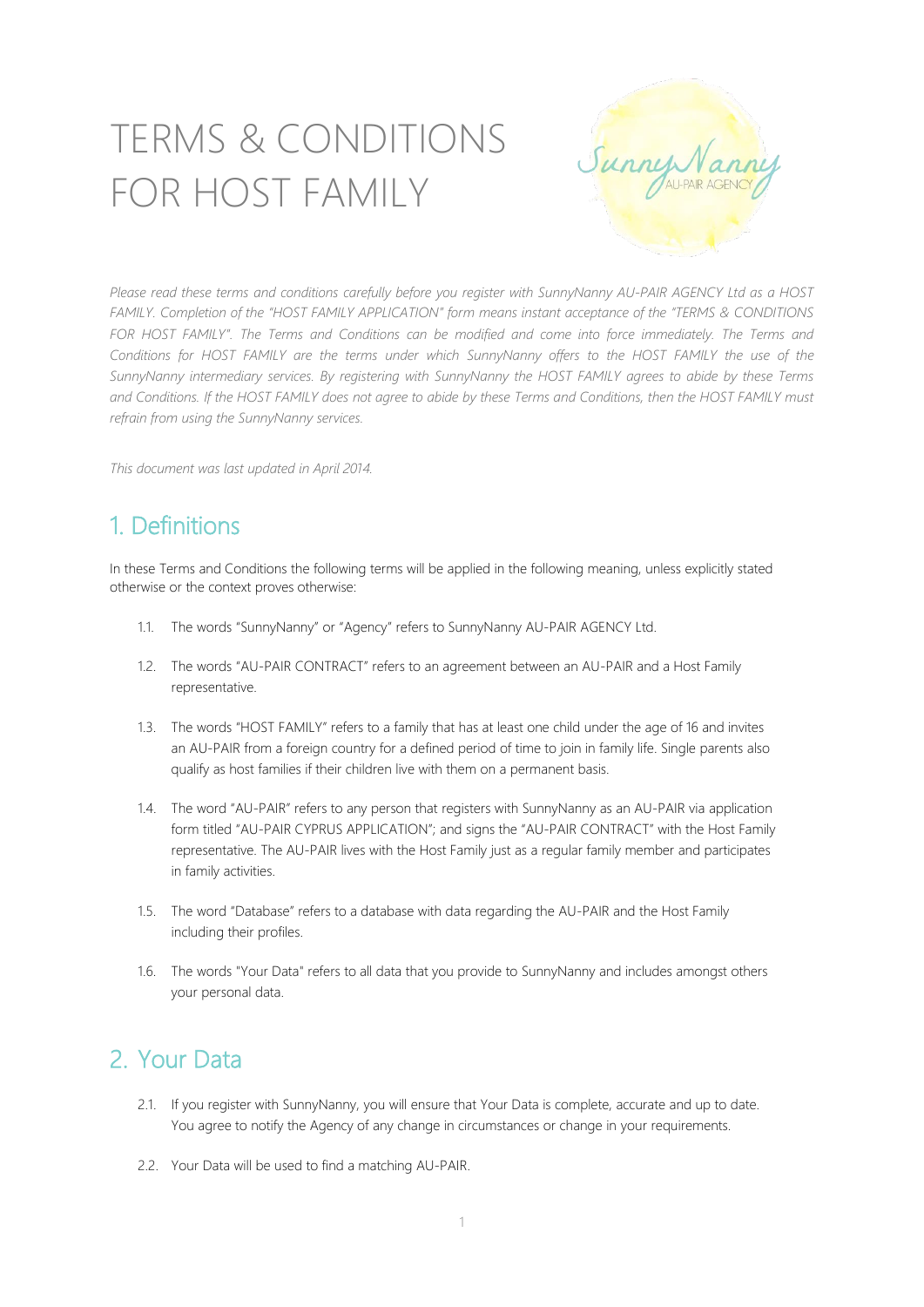# TERMS & CONDITIONS FOR HOST FAMILY



Please read these terms and conditions carefully before you register with SunnyNanny AU-PAIR AGENCY Ltd as a HOST *FAMILY. Completion of the "HOST FAMILY APPLICATION" form means instant acceptance of the "TERMS & CONDITIONS* FOR HOST FAMILY". The Terms and Conditions can be modified and come into force immediately. The Terms and Conditions for HOST FAMILY are the terms under which SunnyNanny offers to the HOST FAMILY the use of the *SunnyNanny intermediary services. By registering with SunnyNanny the HOST FAMILY agrees to abide by these Terms* and Conditions. If the HOST FAMILY does not agree to abide by these Terms and Conditions, then the HOST FAMILY must *refrain from using the SunnyNanny services.*

*This document was last updated in April 2014.*

# 1. Definitions

In these Terms and Conditions the following terms will be applied in the following meaning, unless explicitly stated otherwise or the context proves otherwise:

- 1.1. The words "SunnyNanny" or "Agency" refers to SunnyNanny AU-PAIR AGENCY Ltd.
- 1.2. The words "AU-PAIR CONTRACT" refers to an agreement between an AU-PAIR and a Host Family representative.
- 1.3. The words "HOST FAMILY" refers to a family that has at least one child under the age of 16 and invites an AU-PAIR from a foreign country for a defined period of time to join in family life. Single parents also qualify as host families if their children live with them on a permanent basis.
- 1.4. The word "AU-PAIR" refers to any person that registers with SunnyNanny as an AU-PAIR via application form titled "AU-PAIR CYPRUS APPLICATION"; and signs the "AU-PAIR CONTRACT" with the Host Family representative. The AU-PAIR lives with the Host Family just as a regular family member and participates in family activities.
- 1.5. The word "Database" refers to a database with data regarding the AU-PAIR and the Host Family including their profiles.
- 1.6. The words "Your Data" refers to all data that you provide to SunnyNanny and includes amongst others your personal data.

## 2. Your Data

- 2.1. If you register with SunnyNanny, you will ensure that Your Data is complete, accurate and up to date. You agree to notify the Agency of any change in circumstances or change in your requirements.
- 2.2. Your Data will be used to find a matching AU-PAIR.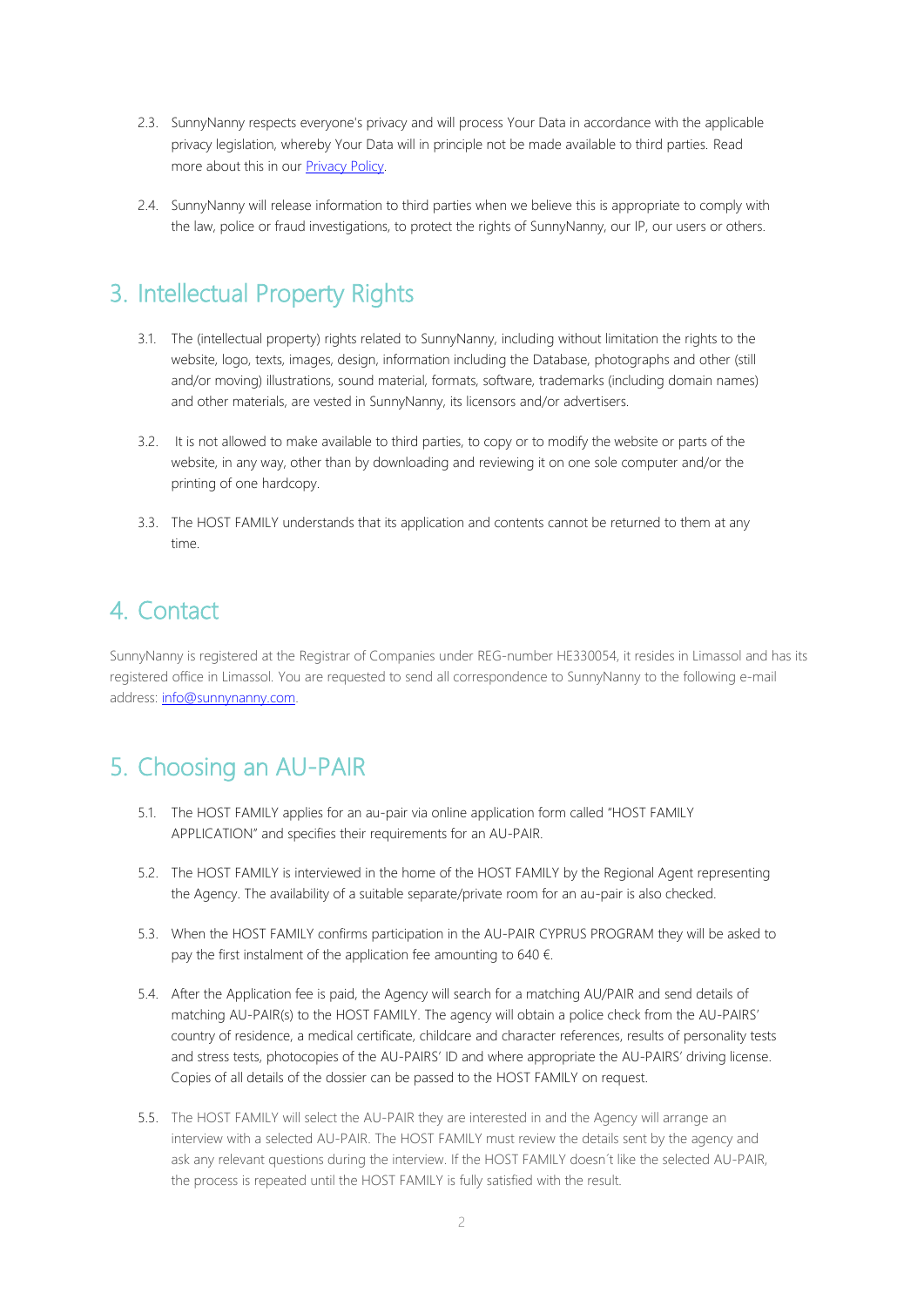- 2.3. SunnyNanny respects everyone's privacy and will process Your Data in accordance with the applicable privacy legislation, whereby Your Data will in principle not be made available to third parties. Read more about this in our [Privacy Policy.](http://media.wix.com/ugd/4e2671_57bcc5978f334b22ad098be9843f3590.pdf)
- 2.4. SunnyNanny will release information to third parties when we believe this is appropriate to comply with the law, police or fraud investigations, to protect the rights of SunnyNanny, our IP, our users or others.

## 3. Intellectual Property Rights

- 3.1. The (intellectual property) rights related to SunnyNanny, including without limitation the rights to the website, logo, texts, images, design, information including the Database, photographs and other (still and/or moving) illustrations, sound material, formats, software, trademarks (including domain names) and other materials, are vested in SunnyNanny, its licensors and/or advertisers.
- 3.2. It is not allowed to make available to third parties, to copy or to modify the website or parts of the website, in any way, other than by downloading and reviewing it on one sole computer and/or the printing of one hardcopy.
- 3.3. The HOST FAMILY understands that its application and contents cannot be returned to them at any time.

## 4. Contact

SunnyNanny is registered at the Registrar of Companies under REG-number HE330054, it resides in Limassol and has its registered office in Limassol. You are requested to send all correspondence to SunnyNanny to the following e-mail address: info@sunnynanny.com.

# 5. Choosing an AU-PAIR

- 5.1. The HOST FAMILY applies for an au-pair via online application form called "HOST FAMILY APPLICATION" and specifies their requirements for an AU-PAIR.
- 5.2. The HOST FAMILY is interviewed in the home of the HOST FAMILY by the Regional Agent representing the Agency. The availability of a suitable separate/private room for an au-pair is also checked.
- 5.3. When the HOST FAMILY confirms participation in the AU-PAIR CYPRUS PROGRAM they will be asked to pay the first instalment of the application fee amounting to 640  $\epsilon$ .
- 5.4. After the Application fee is paid, the Agency will search for a matching AU/PAIR and send details of matching AU-PAIR(s) to the HOST FAMILY. The agency will obtain a police check from the AU-PAIRS' country of residence, a medical certificate, childcare and character references, results of personality tests and stress tests, photocopies of the AU-PAIRS' ID and where appropriate the AU-PAIRS' driving license. Copies of all details of the dossier can be passed to the HOST FAMILY on request.
- 5.5. The HOST FAMILY will select the AU-PAIR they are interested in and the Agency will arrange an interview with a selected AU-PAIR. The HOST FAMILY must review the details sent by the agency and ask any relevant questions during the interview. If the HOST FAMILY doesn´t like the selected AU-PAIR, the process is repeated until the HOST FAMILY is fully satisfied with the result.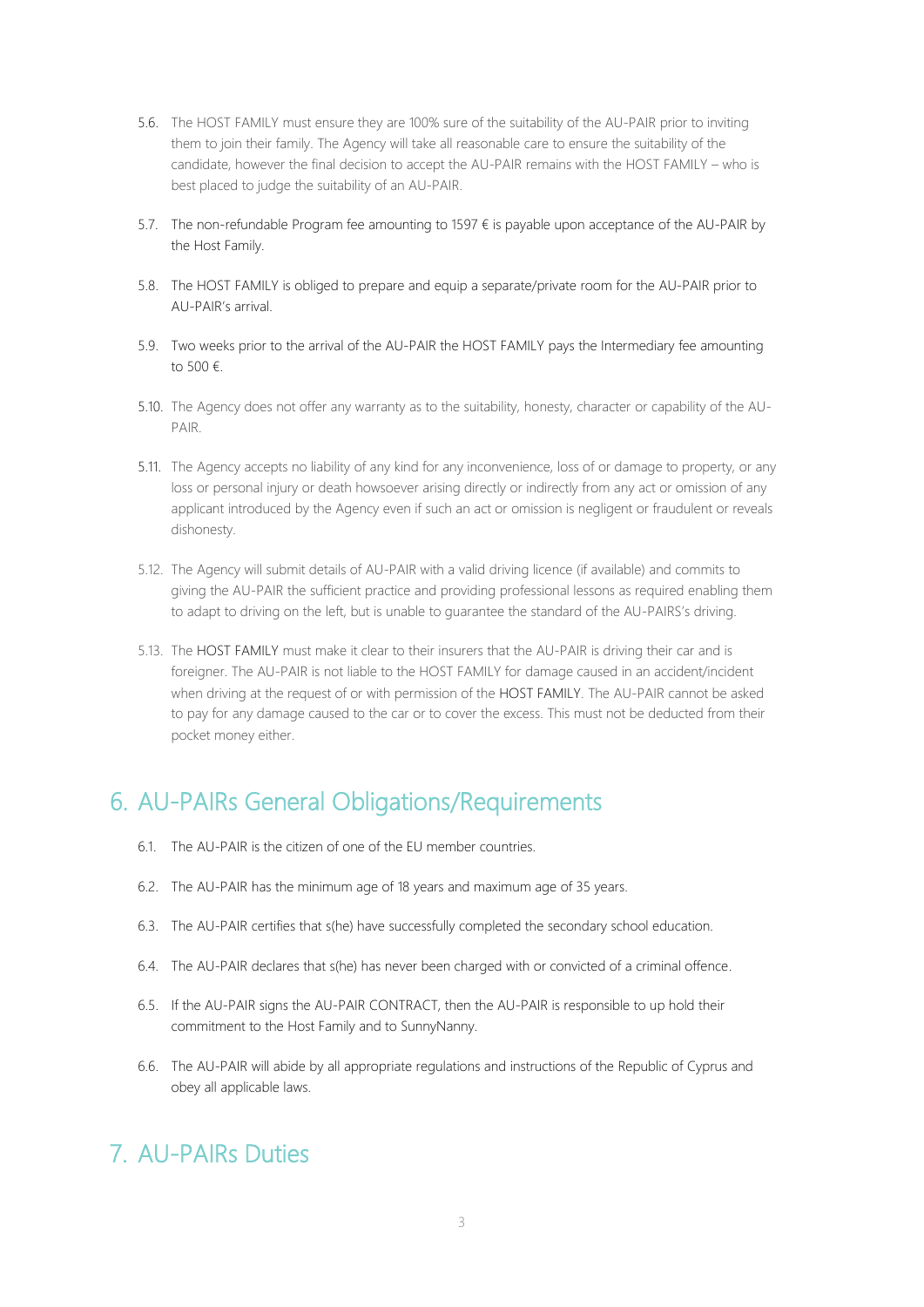- 5.6. The HOST FAMILY must ensure they are 100% sure of the suitability of the AU-PAIR prior to inviting them to join their family. The Agency will take all reasonable care to ensure the suitability of the candidate, however the final decision to accept the AU-PAIR remains with the HOST FAMILY – who is best placed to judge the suitability of an AU-PAIR.
- 5.7. The non-refundable Program fee amounting to 1597 € is payable upon acceptance of the AU-PAIR by the Host Family.
- 5.8. The HOST FAMILY is obliged to prepare and equip a separate/private room for the AU-PAIR prior to AU-PAIR's arrival.
- 5.9. Two weeks prior to the arrival of the AU-PAIR the HOST FAMILY pays the Intermediary fee amounting to 500 €.
- 5.10. The Agency does not offer any warranty as to the suitability, honesty, character or capability of the AU-PAIR.
- 5.11. The Agency accepts no liability of any kind for any inconvenience, loss of or damage to property, or any loss or personal injury or death howsoever arising directly or indirectly from any act or omission of any applicant introduced by the Agency even if such an act or omission is negligent or fraudulent or reveals dishonesty.
- 5.12. The Agency will submit details of AU-PAIR with a valid driving licence (if available) and commits to giving the AU-PAIR the sufficient practice and providing professional lessons as required enabling them to adapt to driving on the left, but is unable to guarantee the standard of the AU-PAIRS's driving.
- 5.13. The HOST FAMILY must make it clear to their insurers that the AU-PAIR is driving their car and is foreigner. The AU-PAIR is not liable to the HOST FAMILY for damage caused in an accident/incident when driving at the request of or with permission of the HOST FAMILY. The AU-PAIR cannot be asked to pay for any damage caused to the car or to cover the excess. This must not be deducted from their pocket money either.

## 6. AU-PAIRs General Obligations/Requirements

- 6.1. The AU-PAIR is the citizen of one of the EU member countries.
- 6.2. The AU-PAIR has the minimum age of 18 years and maximum age of 35 years.
- 6.3. The AU-PAIR certifies that s(he) have successfully completed the secondary school education.
- 6.4. The AU-PAIR declares that s(he) has never been charged with or convicted of a criminal offence.
- 6.5. If the AU-PAIR signs the AU-PAIR CONTRACT, then the AU-PAIR is responsible to up hold their commitment to the Host Family and to SunnyNanny.
- 6.6. The AU-PAIR will abide by all appropriate regulations and instructions of the Republic of Cyprus and obey all applicable laws.

## 7. AU-PAIRs Duties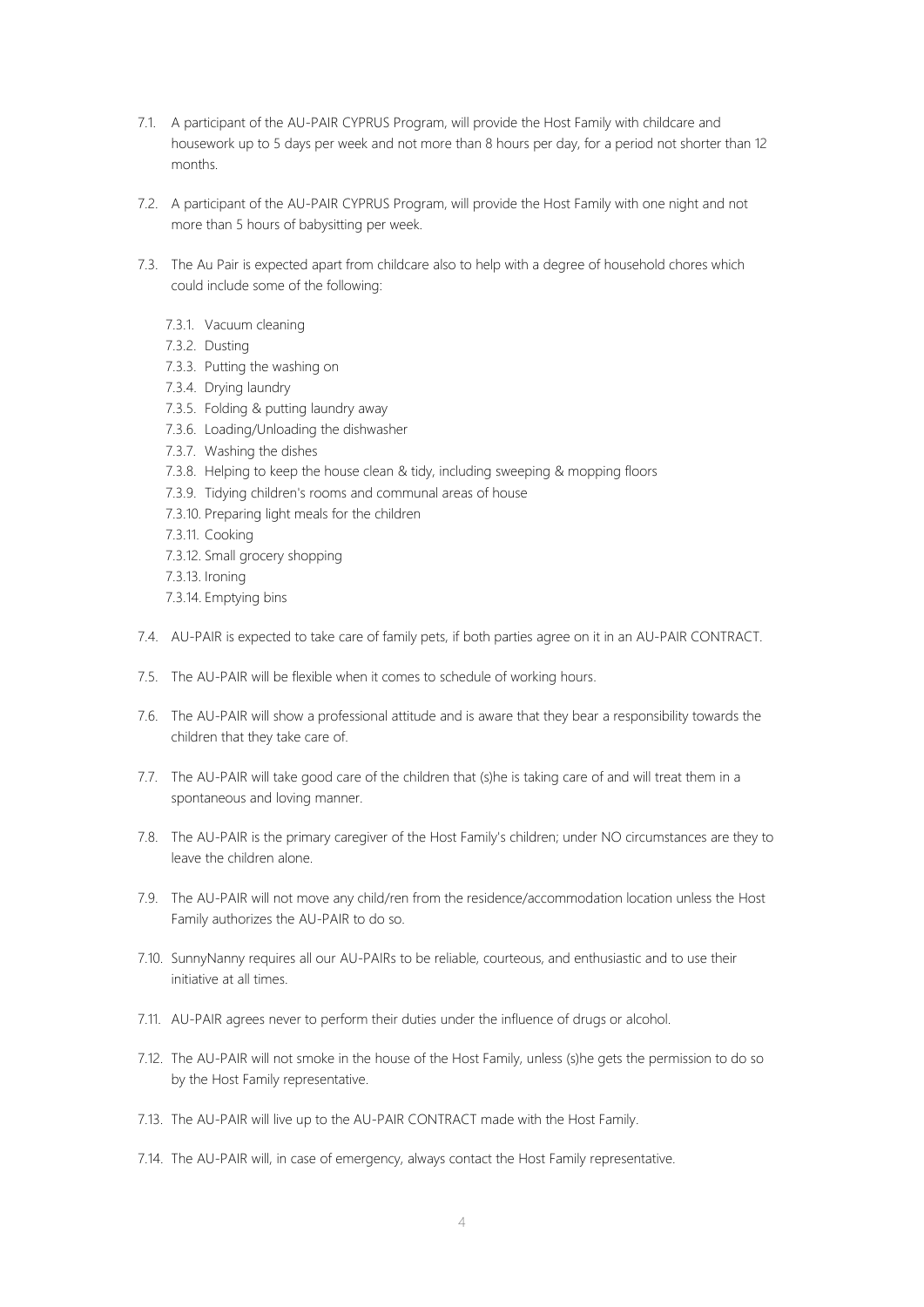- 7.1. A participant of the AU-PAIR CYPRUS Program, will provide the Host Family with childcare and housework up to 5 days per week and not more than 8 hours per day, for a period not shorter than 12 months.
- 7.2. A participant of the AU-PAIR CYPRUS Program, will provide the Host Family with one night and not more than 5 hours of babysitting per week.
- 7.3. The Au Pair is expected apart from childcare also to help with a degree of household chores which could include some of the following:
	- 7.3.1. Vacuum cleaning
	- 7.3.2. Dusting
	- 7.3.3. Putting the washing on
	- 7.3.4. Drying laundry
	- 7.3.5. Folding & putting laundry away
	- 7.3.6. Loading/Unloading the dishwasher
	- 7.3.7. Washing the dishes
	- 7.3.8. Helping to keep the house clean & tidy, including sweeping & mopping floors
	- 7.3.9. Tidying children's rooms and communal areas of house
	- 7.3.10. Preparing light meals for the children
	- 7.3.11. Cooking
	- 7.3.12. Small grocery shopping
	- 7.3.13. Ironing
	- 7.3.14. Emptying bins
- 7.4. AU-PAIR is expected to take care of family pets, if both parties agree on it in an AU-PAIR CONTRACT.
- 7.5. The AU-PAIR will be flexible when it comes to schedule of working hours.
- 7.6. The AU-PAIR will show a professional attitude and is aware that they bear a responsibility towards the children that they take care of.
- 7.7. The AU-PAIR will take good care of the children that (s)he is taking care of and will treat them in a spontaneous and loving manner.
- 7.8. The AU-PAIR is the primary caregiver of the Host Family's children; under NO circumstances are they to leave the children alone.
- 7.9. The AU-PAIR will not move any child/ren from the residence/accommodation location unless the Host Family authorizes the AU-PAIR to do so.
- 7.10. SunnyNanny requires all our AU-PAIRs to be reliable, courteous, and enthusiastic and to use their initiative at all times.
- 7.11. AU-PAIR agrees never to perform their duties under the influence of drugs or alcohol.
- 7.12. The AU-PAIR will not smoke in the house of the Host Family, unless (s)he gets the permission to do so by the Host Family representative.
- 7.13. The AU-PAIR will live up to the AU-PAIR CONTRACT made with the Host Family.
- 7.14. The AU-PAIR will, in case of emergency, always contact the Host Family representative.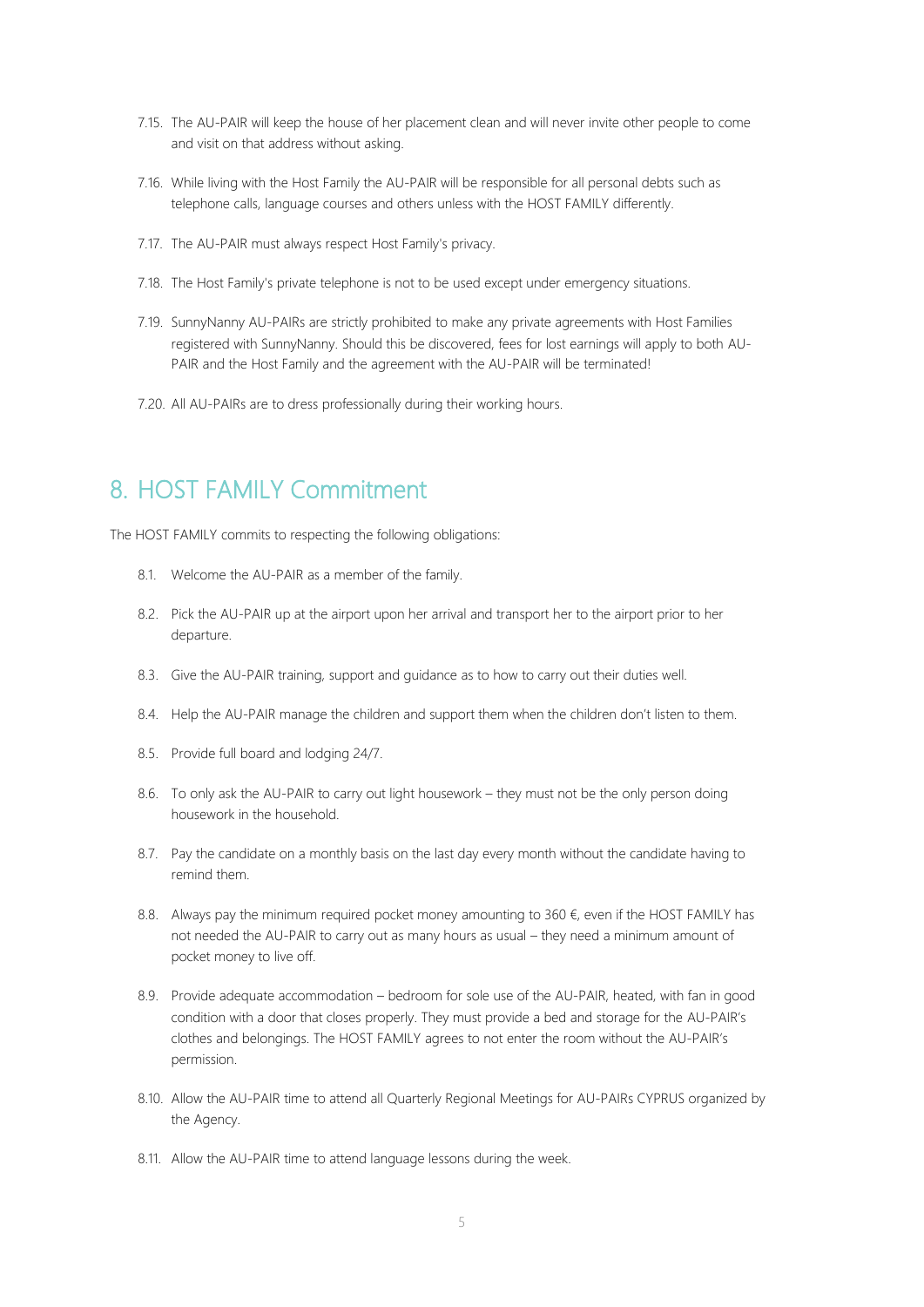- 7.15. The AU-PAIR will keep the house of her placement clean and will never invite other people to come and visit on that address without asking.
- 7.16. While living with the Host Family the AU-PAIR will be responsible for all personal debts such as telephone calls, language courses and others unless with the HOST FAMILY differently.
- 7.17. The AU-PAIR must always respect Host Family's privacy.
- 7.18. The Host Family's private telephone is not to be used except under emergency situations.
- 7.19. SunnyNanny AU-PAIRs are strictly prohibited to make any private agreements with Host Families registered with SunnyNanny. Should this be discovered, fees for lost earnings will apply to both AU-PAIR and the Host Family and the agreement with the AU-PAIR will be terminated!
- 7.20. All AU-PAIRs are to dress professionally during their working hours.

#### 8. HOST FAMILY Commitment

The HOST FAMILY commits to respecting the following obligations:

- 8.1. Welcome the AU-PAIR as a member of the family.
- 8.2. Pick the AU-PAIR up at the airport upon her arrival and transport her to the airport prior to her departure.
- 8.3. Give the AU-PAIR training, support and guidance as to how to carry out their duties well.
- 8.4. Help the AU-PAIR manage the children and support them when the children don't listen to them.
- 8.5. Provide full board and lodging 24/7.
- 8.6. To only ask the AU-PAIR to carry out light housework they must not be the only person doing housework in the household.
- 8.7. Pay the candidate on a monthly basis on the last day every month without the candidate having to remind them.
- 8.8. Always pay the minimum required pocket money amounting to 360  $\epsilon$ , even if the HOST FAMILY has not needed the AU-PAIR to carry out as many hours as usual – they need a minimum amount of pocket money to live off.
- 8.9. Provide adequate accommodation bedroom for sole use of the AU-PAIR, heated, with fan in good condition with a door that closes properly. They must provide a bed and storage for the AU-PAIR's clothes and belongings. The HOST FAMILY agrees to not enter the room without the AU-PAIR's permission.
- 8.10. Allow the AU-PAIR time to attend all Quarterly Regional Meetings for AU-PAIRs CYPRUS organized by the Agency.
- 8.11. Allow the AU-PAIR time to attend language lessons during the week.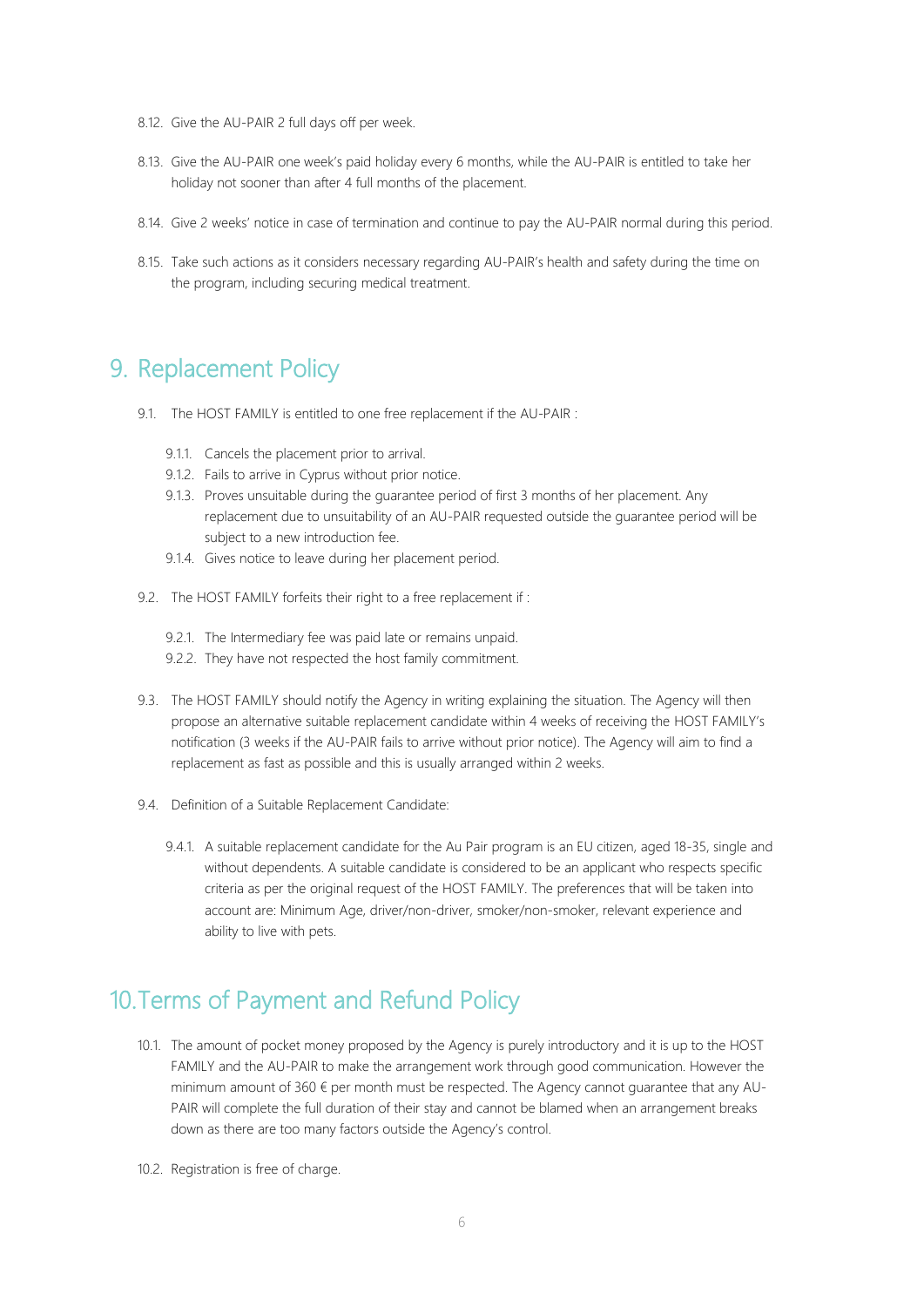- 8.12. Give the AU-PAIR 2 full days off per week.
- 8.13. Give the AU-PAIR one week's paid holiday every 6 months, while the AU-PAIR is entitled to take her holiday not sooner than after 4 full months of the placement.
- 8.14. Give 2 weeks' notice in case of termination and continue to pay the AU-PAIR normal during this period.
- 8.15. Take such actions as it considers necessary regarding AU-PAIR's health and safety during the time on the program, including securing medical treatment.

#### 9. Replacement Policy

- 9.1. The HOST FAMILY is entitled to one free replacement if the AU-PAIR :
	- 9.1.1. Cancels the placement prior to arrival.
	- 9.1.2. Fails to arrive in Cyprus without prior notice.
	- 9.1.3. Proves unsuitable during the guarantee period of first 3 months of her placement. Any replacement due to unsuitability of an AU-PAIR requested outside the guarantee period will be subject to a new introduction fee.
	- 9.1.4. Gives notice to leave during her placement period.
- 9.2. The HOST FAMILY forfeits their right to a free replacement if :
	- 9.2.1. The Intermediary fee was paid late or remains unpaid.
	- 9.2.2. They have not respected the host family commitment.
- 9.3. The HOST FAMILY should notify the Agency in writing explaining the situation. The Agency will then propose an alternative suitable replacement candidate within 4 weeks of receiving the HOST FAMILY's notification (3 weeks if the AU-PAIR fails to arrive without prior notice). The Agency will aim to find a replacement as fast as possible and this is usually arranged within 2 weeks.
- 9.4. Definition of a Suitable Replacement Candidate:
	- 9.4.1. A suitable replacement candidate for the Au Pair program is an EU citizen, aged 18-35, single and without dependents. A suitable candidate is considered to be an applicant who respects specific criteria as per the original request of the HOST FAMILY. The preferences that will be taken into account are: Minimum Age, driver/non-driver, smoker/non-smoker, relevant experience and ability to live with pets.

## 10.Terms of Payment and Refund Policy

- 10.1. The amount of pocket money proposed by the Agency is purely introductory and it is up to the HOST FAMILY and the AU-PAIR to make the arrangement work through good communication. However the minimum amount of  $360 \text{ } \epsilon$  per month must be respected. The Agency cannot guarantee that any AU-PAIR will complete the full duration of their stay and cannot be blamed when an arrangement breaks down as there are too many factors outside the Agency's control.
- 10.2. Registration is free of charge.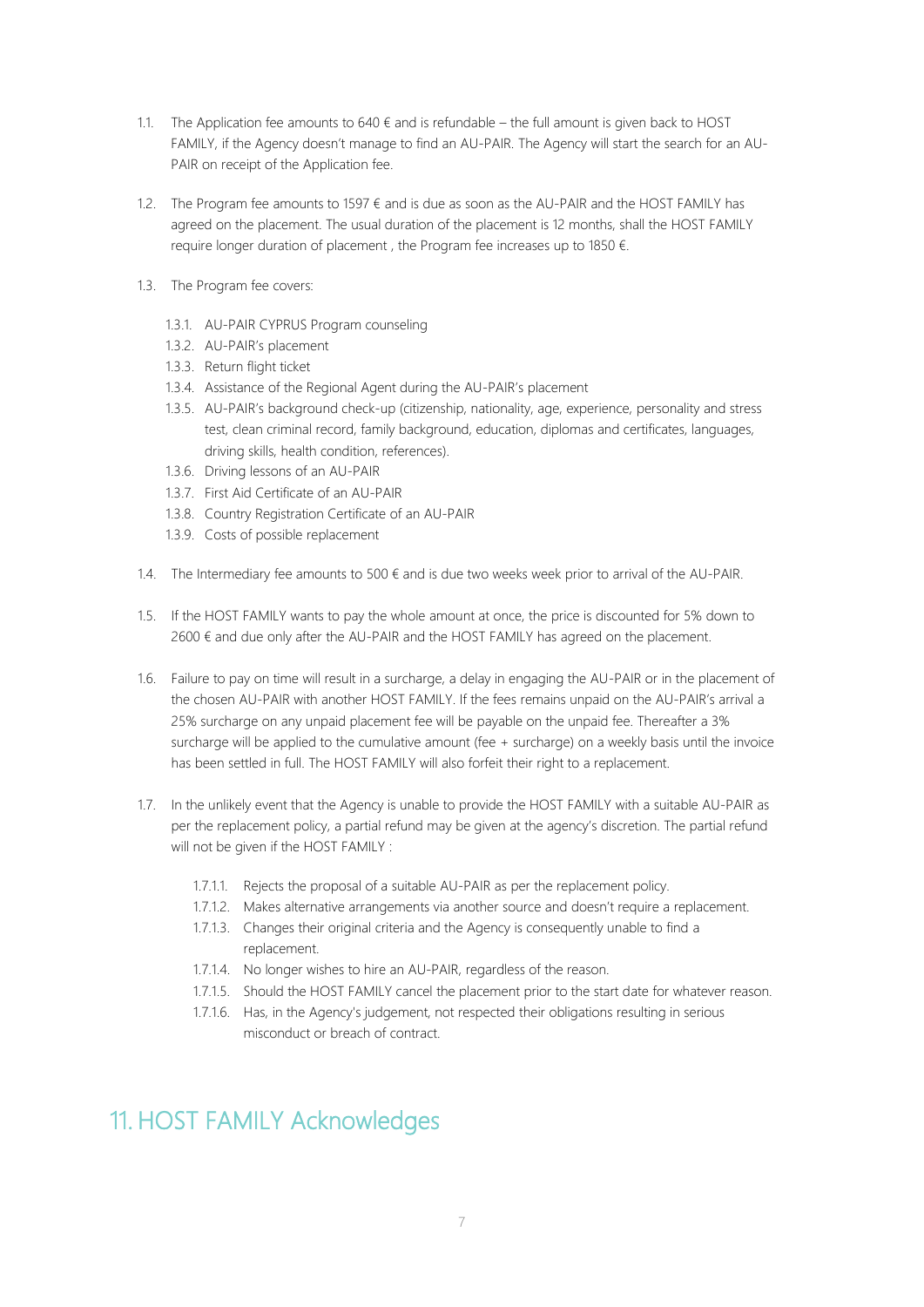- 1.1. The Application fee amounts to  $640 \text{ } \in$  and is refundable the full amount is given back to HOST FAMILY, if the Agency doesn't manage to find an AU-PAIR. The Agency will start the search for an AU-PAIR on receipt of the Application fee.
- 1.2. The Program fee amounts to 1597  $\epsilon$  and is due as soon as the AU-PAIR and the HOST FAMILY has agreed on the placement. The usual duration of the placement is 12 months, shall the HOST FAMILY require longer duration of placement , the Program fee increases up to 1850 €.
- 1.3. The Program fee covers:
	- 1.3.1. AU-PAIR CYPRUS Program counseling
	- 1.3.2. AU-PAIR's placement
	- 1.3.3. Return flight ticket
	- 1.3.4. Assistance of the Regional Agent during the AU-PAIR's placement
	- 1.3.5. AU-PAIR's background check-up (citizenship, nationality, age, experience, personality and stress test, clean criminal record, family background, education, diplomas and certificates, languages, driving skills, health condition, references).
	- 1.3.6. Driving lessons of an AU-PAIR
	- 1.3.7. First Aid Certificate of an AU-PAIR
	- 1.3.8. Country Registration Certificate of an AU-PAIR
	- 1.3.9. Costs of possible replacement
- 1.4. The Intermediary fee amounts to  $500 \text{ } \epsilon$  and is due two weeks week prior to arrival of the AU-PAIR.
- 1.5. If the HOST FAMILY wants to pay the whole amount at once, the price is discounted for 5% down to 2600 € and due only after the AU-PAIR and the HOST FAMILY has agreed on the placement.
- 1.6. Failure to pay on time will result in a surcharge, a delay in engaging the AU-PAIR or in the placement of the chosen AU-PAIR with another HOST FAMILY. If the fees remains unpaid on the AU-PAIR's arrival a 25% surcharge on any unpaid placement fee will be payable on the unpaid fee. Thereafter a 3% surcharge will be applied to the cumulative amount (fee + surcharge) on a weekly basis until the invoice has been settled in full. The HOST FAMILY will also forfeit their right to a replacement.
- 1.7. In the unlikely event that the Agency is unable to provide the HOST FAMILY with a suitable AU-PAIR as per the replacement policy, a partial refund may be given at the agency's discretion. The partial refund will not be given if the HOST FAMILY :
	- 1.7.1.1. Rejects the proposal of a suitable AU-PAIR as per the replacement policy.
	- 1.7.1.2. Makes alternative arrangements via another source and doesn't require a replacement.
	- 1.7.1.3. Changes their original criteria and the Agency is consequently unable to find a replacement.
	- 1.7.1.4. No longer wishes to hire an AU-PAIR, regardless of the reason.
	- 1.7.1.5. Should the HOST FAMILY cancel the placement prior to the start date for whatever reason.
	- 1.7.1.6. Has, in the Agency's judgement, not respected their obligations resulting in serious misconduct or breach of contract.

# 11. HOST FAMILY Acknowledges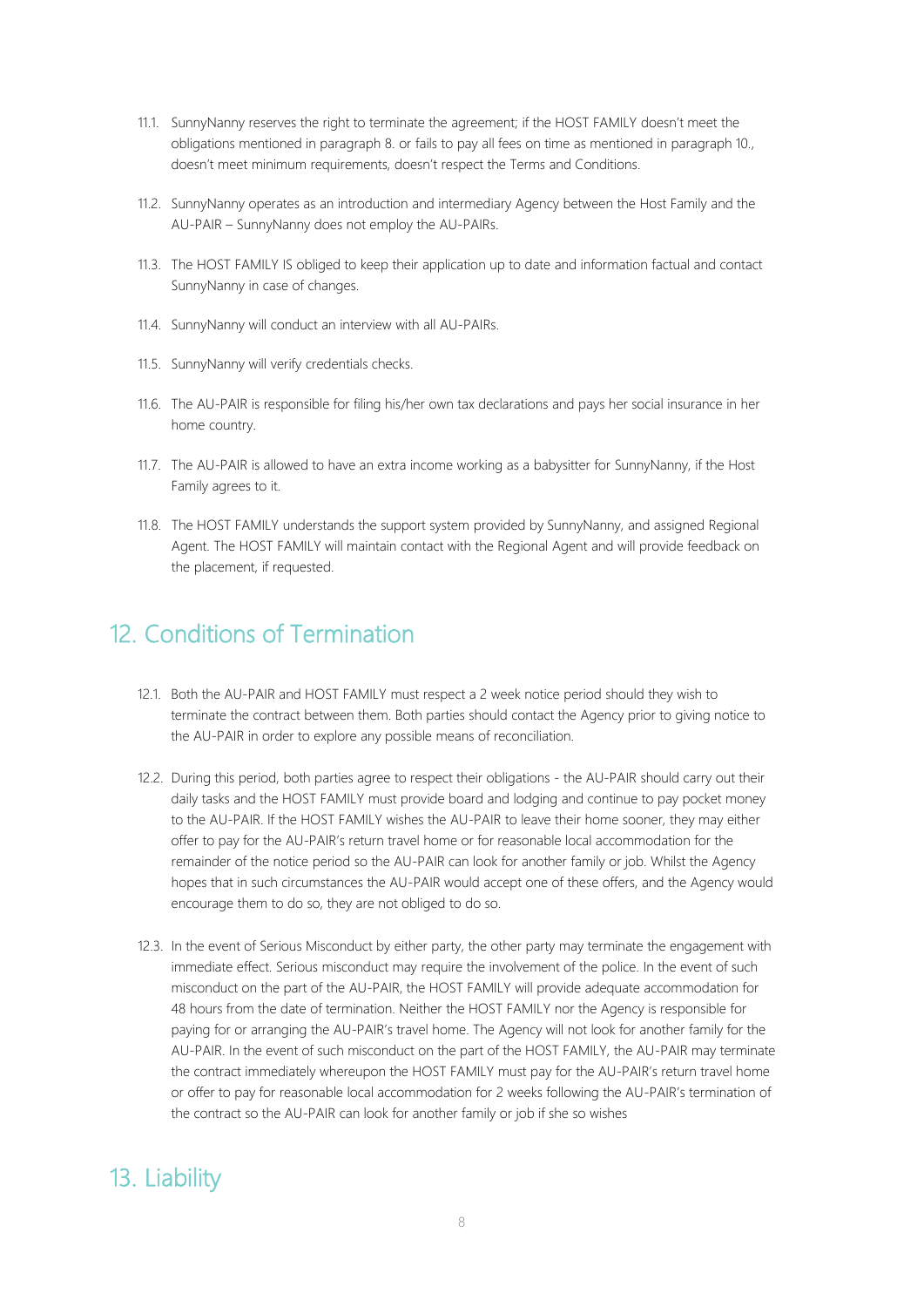- 11.1. SunnyNanny reserves the right to terminate the agreement; if the HOST FAMILY doesn't meet the obligations mentioned in paragraph 8. or fails to pay all fees on time as mentioned in paragraph 10., doesn't meet minimum requirements, doesn't respect the Terms and Conditions.
- 11.2. SunnyNanny operates as an introduction and intermediary Agency between the Host Family and the AU-PAIR – SunnyNanny does not employ the AU-PAIRs.
- 11.3. The HOST FAMILY IS obliged to keep their application up to date and information factual and contact SunnyNanny in case of changes.
- 11.4. SunnyNanny will conduct an interview with all AU-PAIRs.
- 11.5. SunnyNanny will verify credentials checks.
- 11.6. The AU-PAIR is responsible for filing his/her own tax declarations and pays her social insurance in her home country.
- 11.7. The AU-PAIR is allowed to have an extra income working as a babysitter for SunnyNanny, if the Host Family agrees to it.
- 11.8. The HOST FAMILY understands the support system provided by SunnyNanny, and assigned Regional Agent. The HOST FAMILY will maintain contact with the Regional Agent and will provide feedback on the placement, if requested.

## 12. Conditions of Termination

- 12.1. Both the AU-PAIR and HOST FAMILY must respect a 2 week notice period should they wish to terminate the contract between them. Both parties should contact the Agency prior to giving notice to the AU-PAIR in order to explore any possible means of reconciliation.
- 12.2. During this period, both parties agree to respect their obligations the AU-PAIR should carry out their daily tasks and the HOST FAMILY must provide board and lodging and continue to pay pocket money to the AU-PAIR. If the HOST FAMILY wishes the AU-PAIR to leave their home sooner, they may either offer to pay for the AU-PAIR's return travel home or for reasonable local accommodation for the remainder of the notice period so the AU-PAIR can look for another family or job. Whilst the Agency hopes that in such circumstances the AU-PAIR would accept one of these offers, and the Agency would encourage them to do so, they are not obliged to do so.
- 12.3. In the event of Serious Misconduct by either party, the other party may terminate the engagement with immediate effect. Serious misconduct may require the involvement of the police. In the event of such misconduct on the part of the AU-PAIR, the HOST FAMILY will provide adequate accommodation for 48 hours from the date of termination. Neither the HOST FAMILY nor the Agency is responsible for paying for or arranging the AU-PAIR's travel home. The Agency will not look for another family for the AU-PAIR. In the event of such misconduct on the part of the HOST FAMILY, the AU-PAIR may terminate the contract immediately whereupon the HOST FAMILY must pay for the AU-PAIR's return travel home or offer to pay for reasonable local accommodation for 2 weeks following the AU-PAIR's termination of the contract so the AU-PAIR can look for another family or job if she so wishes

# 13. Liability